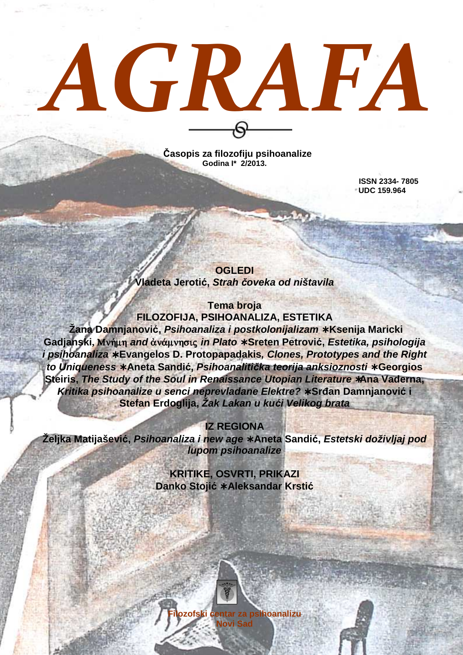# *AGRAFA*

**Časopis za filozofiju psihoanalize Godina I\* 2/2013.** 

> **ISSN 2334- 7805 UDC 159.964**

**OGLEDI Vladeta Jerоtić, Strah** *č***oveka od ništavila**

**Tema broja FILOZOFIJA, PSIHOANALIZA, ESTETIKA Žana Damnjanović, Psihoanaliza i postkolonijalizam** ∗ **Ksenija Maricki Gadjanski,** Mn»mh **and** ¢n£mnhsij **in Plato** ∗ **Sreten Petrović, Estetika, psihologija i psihoanaliza** ∗ **Evangelos D. Protopapadakis, Clones, Prototypes and the Right to Uniqueness** ∗ **Aneta Sandić, Psihoanaliti***č***ka teorija anksioznosti** ∗ **Georgios Steiris, The Study of the Soul in Renaissance Utopian Literature** ∗**Ana Vaderna, Kritika psihoanalize u senci neprevladane Elektre?** ∗ **Srñan Damnjanović i Stefan Erdoglija, Žak Lakan u ku***ć***i Velikog brata** 

**IZ REGIONA** 

**Željka Matijašević, Psihoanaliza i new age** ∗ **Aneta Sandić, Estetski doživljaj pod lupom psihoanalize**

> **KRITIKE, OSVRTI, PRIKAZI Danko Stojić** ∗ **Aleksandar Krstić**

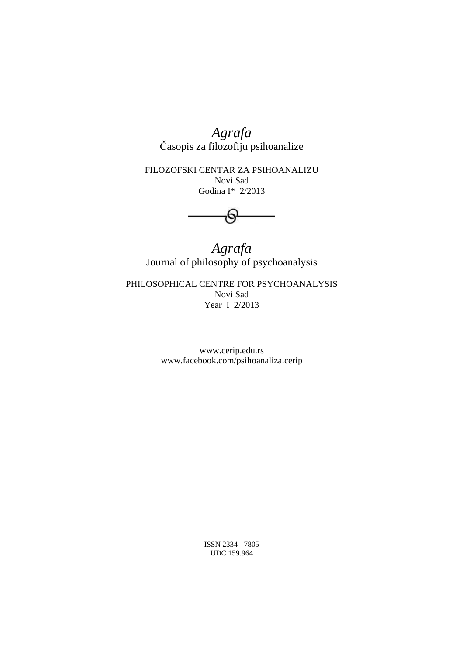*Agrafa*  Časopis za filozofiju psihoanalize

FILOZOFSKI CENTAR ZA PSIHOANALIZU Novi Sad Godina I\* 2/2013

<del>ල</del>-

*Agrafa*  Journal of philosophy of psychoanalysis

PHILOSOPHICAL CENTRE FOR PSYCHOANALYSIS Novi Sad Year I 2/2013

> www.cerip.edu.rs www.facebook.com/psihoanaliza.cerip

> > ISSN 2334 - 7805 UDC 159.964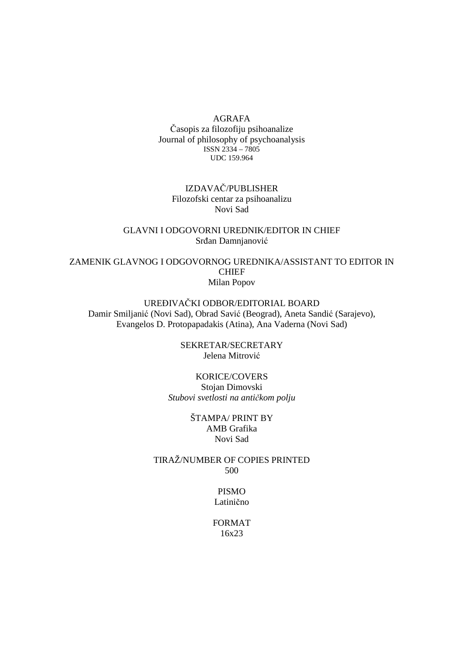### AGRAFA Časopis za filozofiju psihoanalize Journal of philosophy of psychoanalysis ISSN 2334 – 7805 UDC 159.964

# IZDAVAČ/PUBLISHER Filozofski centar za psihoanalizu Novi Sad

# GLAVNI I ODGOVORNI UREDNIK/EDITOR IN CHIEF Srđan Damnjanović

ZAMENIK GLAVNOG I ODGOVORNOG UREDNIKA/ASSISTANT TO EDITOR IN CHIEF Milan Popov

# UREĐIVAČKI ODBOR/EDITORIAL BOARD Damir Smiljanić (Novi Sad), Obrad Savić (Beograd), Aneta Sandić (Sarajevo), Evangelos D. Protopapadakis (Atina), Ana Vaderna (Novi Sad)

SEKRETAR/SECRETARY Jelena Mitrović

KORICE/COVERS Stojan Dimovski *Stubovi svetlosti na antičkom polju* 

# ŠTAMPA/ PRINT BY AMB Grafika Novi Sad

TIRAŽ/NUMBER OF COPIES PRINTED 500

# PISMO Latinično

FORMAT 16x23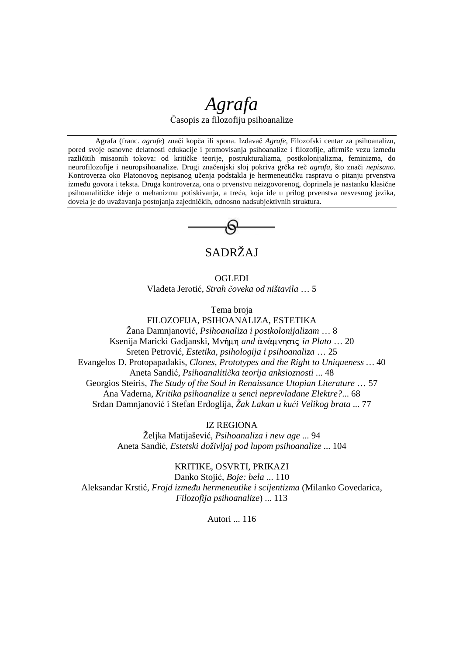# *Agrafa*

Časopis za filozofiju psihoanalize

Agrafa (franc. *agrafe*) znači kopča ili spona. Izdavač *Agrafe,* Filozofski centar za psihoanalizu, pored svoje osnovne delatnosti edukacije i promovisanja psihoanalize i filozofije, afirmiše vezu između različitih misaonih tokova: od kritičke teorije, postrukturalizma, postkolonijalizma, feminizma, do neurofilozofije i neuropsihoanalize. Drugi značenjski sloj pokriva grčka reč *agrafa*, što znači *nepisano*. Kontroverza oko Platonovog nepisanog učenja podstakla je hermeneutičku raspravu o pitanju prvenstva izmeñu govora i teksta. Druga kontroverza, ona o prvenstvu neizgovorenog, doprinela je nastanku klasične psihoanalitičke ideje o mehanizmu potiskivanja, a treća, koja ide u prilog prvenstva nesvesnog jezika, dovela je do uvažavanja postojanja zajedničkih, odnosno nadsubjektivnih struktura.



# SADRŽAJ

**OGLEDI** Vladeta Jerоtić, *Strah čoveka od ništavila* … 5

Tema broja

FILOZOFIJA, PSIHOANALIZA, ESTETIKA Žana Damnjanović, *Psihoanaliza i postkolonijalizam* … 8 Ksenija Maricki Gadjanski, Μνήμη *and* ἀνάμνησις *in Plato* ... 20 Sreten Petrović, *Estetika, psihologija i psihoanaliza* … 25 Evangelos D. Protopapadakis*, Clones, Prototypes and the Right to Uniqueness …* 40 Aneta Sandić, *Psihoanalitička teorija anksioznosti* ... 48 Georgios Steiris, *The Study of the Soul in Renaissance Utopian Literature* … 57 Ana Vaderna, *Kritika psihoanalize u senci neprevladane Elektre?*... 68 Srñan Damnjanović i Stefan Erdoglija, *Žak Lakan u kući Velikog brata* ... 77

IZ REGIONA

Željka Matijašević, *Psihoanaliza i new age* ... 94 Aneta Sandić, *Estetski doživljaj pod lupom psihoanalize* ... 104

# KRITIKE, OSVRTI, PRIKAZI

Danko Stojić, *Boje: bela* ... 110 Aleksandar Krstić, *Frojd izmeñu hermeneutike i scijentizma* (Milanko Govedarica, *Filozofija psihoanalize*) ... 113

Autori ... 116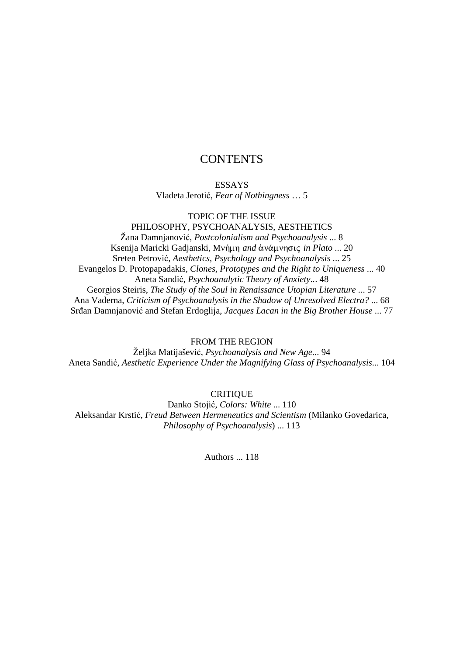# **CONTENTS**

ESSAYS Vladeta Jerоtić, *Fear of Nothingness* … 5

TOPIC OF THE ISSUE

PHILOSOPHY, PSYCHOANALYSIS, AESTHETICS Žana Damnjanović, *Postcolonialism and Psychoanalysis* ... 8 Ksenija Maricki Gadjanski, Μνήμη *and* ἀνάμνησις *in Plato* ... 20 Sreten Petrović, *Aesthetics, Psychology and Psychoanalysis* ... 25 Evangelos D. Protopapadakis*, Clones, Prototypes and the Right to Uniqueness* ... 40 Aneta Sandić, *Psychoanalytic Theory of Anxiety*... 48 Georgios Steiris, *The Study of the Soul in Renaissance Utopian Literature* ... 57 Ana Vaderna, *Criticism of Psychoanalysis in the Shadow of Unresolved Electra?* ... 68 Srđan Damnjanović and Stefan Erdoglija, Jacques Lacan in the Big Brother House ... 77

FROM THE REGION

Željka Matijašević, *Psychoanalysis and New Age*... 94 Aneta Sandić, *Aesthetic Experience Under the Magnifying Glass of Psychoanalysis*... 104

**CRITIQUE** 

Danko Stojić, *Colors: White* ... 110 Aleksandar Krstić*, Freud Between Hermeneutics and Scientism* (Milanko Govedarica, *Philosophy of Psychoanalysis*) ... 113

Authors 118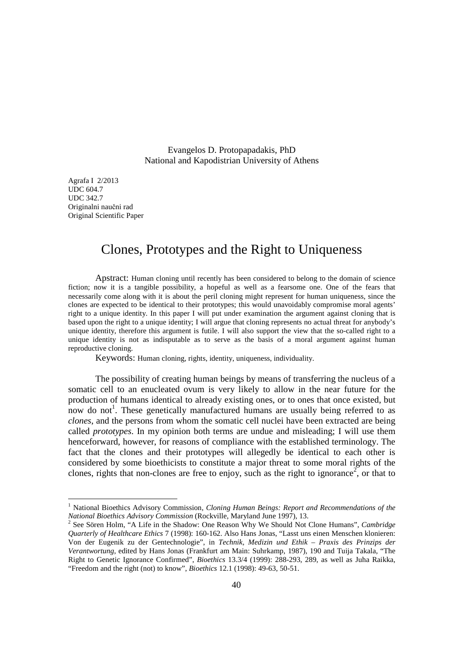Evangelos D. Protopapadakis, PhD National and Kapodistrian University of Athens

Agrafa I 2/2013 UDC 604.7 UDC 342.7 Originalni naučni rad Original Scientific Paper

-

# Clones, Prototypes and the Right to Uniqueness

 Apstract: Human cloning until recently has been considered to belong to the domain of science fiction; now it is a tangible possibility, a hopeful as well as a fearsome one. One of the fears that necessarily come along with it is about the peril cloning might represent for human uniqueness, since the clones are expected to be identical to their prototypes; this would unavoidably compromise moral agents' right to a unique identity. In this paper I will put under examination the argument against cloning that is based upon the right to a unique identity; I will argue that cloning represents no actual threat for anybody's unique identity, therefore this argument is futile. I will also support the view that the so-called right to a unique identity is not as indisputable as to serve as the basis of a moral argument against human reproductive cloning.

Keywords: Human cloning, rights, identity, uniqueness, individuality.

The possibility of creating human beings by means of transferring the nucleus of a somatic cell to an enucleated ovum is very likely to allow in the near future for the production of humans identical to already existing ones, or to ones that once existed, but now do not<sup>1</sup>. These genetically manufactured humans are usually being referred to as *clones*, and the persons from whom the somatic cell nuclei have been extracted are being called *prototypes*. In my opinion both terms are undue and misleading; I will use them henceforward, however, for reasons of compliance with the established terminology. The fact that the clones and their prototypes will allegedly be identical to each other is considered by some bioethicists to constitute a major threat to some moral rights of the clones, rights that non-clones are free to enjoy, such as the right to ignorance<sup>2</sup>, or that to

<sup>&</sup>lt;sup>1</sup> National Bioethics Advisory Commission, Cloning Human Beings: Report and Recommendations of the *National Bioethics Advisory Commission* (Rockville, Maryland June 1997), 13.

<sup>2</sup> See Sören Holm, "A Life in the Shadow: One Reason Why We Should Not Clone Humans", *Cambridge Quarterly of Healthcare Ethics* 7 (1998): 160-162. Also Hans Jonas, "Lasst uns einen Menschen klonieren: Von der Eugenik zu der Gentechnologie", in *Technik, Medizin und Ethik – Praxis des Prinzips der Verantwortung*, edited by Hans Jonas (Frankfurt am Main: Suhrkamp, 1987), 190 and Tuija Takala, "The Right to Genetic Ignorance Confirmed", *Bioethics* 13.3/4 (1999): 288-293, 289, as well as Juha Raikka, "Freedom and the right (not) to know", *Bioethics* 12.1 (1998): 49-63, 50-51.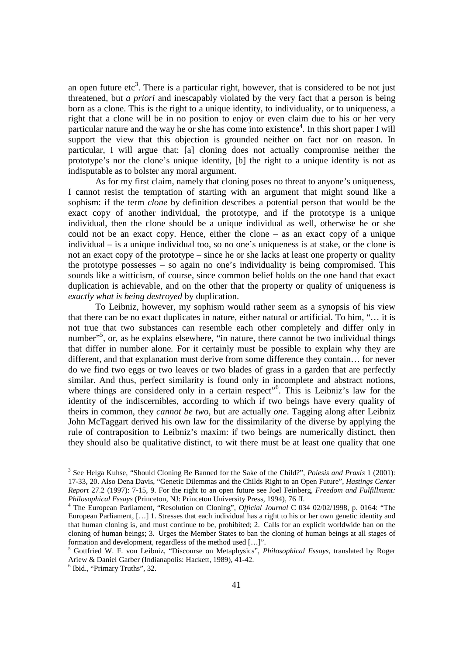an open future etc<sup>3</sup>. There is a particular right, however, that is considered to be not just threatened, but *a priori* and inescapably violated by the very fact that a person is being born as a clone. This is the right to a unique identity, to individuality, or to uniqueness, a right that a clone will be in no position to enjoy or even claim due to his or her very particular nature and the way he or she has come into existence<sup>4</sup>. In this short paper I will support the view that this objection is grounded neither on fact nor on reason. In particular, I will argue that: [a] cloning does not actually compromise neither the prototype's nor the clone's unique identity, [b] the right to a unique identity is not as indisputable as to bolster any moral argument.

As for my first claim, namely that cloning poses no threat to anyone's uniqueness, I cannot resist the temptation of starting with an argument that might sound like a sophism: if the term *clone* by definition describes a potential person that would be the exact copy of another individual, the prototype, and if the prototype is a unique individual, then the clone should be a unique individual as well, otherwise he or she could not be an exact copy. Hence, either the clone – as an exact copy of a unique individual – is a unique individual too, so no one's uniqueness is at stake, or the clone is not an exact copy of the prototype – since he or she lacks at least one property or quality the prototype possesses – so again no one's individuality is being compromised. This sounds like a witticism, of course, since common belief holds on the one hand that exact duplication is achievable, and on the other that the property or quality of uniqueness is *exactly what is being destroyed* by duplication.

To Leibniz, however, my sophism would rather seem as a synopsis of his view that there can be no exact duplicates in nature, either natural or artificial. To him, "… it is not true that two substances can resemble each other completely and differ only in number"<sup>5</sup>, or, as he explains elsewhere, "in nature, there cannot be two individual things that differ in number alone*.* For it certainly must be possible to explain why they are different, and that explanation must derive from some difference they contain… for never do we find two eggs or two leaves or two blades of grass in a garden that are perfectly similar. And thus, perfect similarity is found only in incomplete and abstract notions, where things are considered only in a certain respect"<sup>6</sup>. This is Leibniz's law for the identity of the indiscernibles, according to which if two beings have every quality of theirs in common, they *cannot be two*, but are actually *one*. Tagging along after Leibniz John McTaggart derived his own law for the dissimilarity of the diverse by applying the rule of contraposition to Leibniz's maxim: if two beings are numerically distinct, then they should also be qualitative distinct, to wit there must be at least one quality that one

-

<sup>3</sup> See Helga Kuhse, "Should Cloning Be Banned for the Sake of the Child?", *Poiesis and Praxis* 1 (2001): 17-33, 20. Also Dena Davis, "Genetic Dilemmas and the Childs Right to an Open Future", *Hastings Center Report* 27.2 (1997): 7-15, 9. For the right to an open future see Joel Feinberg, *Freedom and Fulfillment: Philosophical Essays* (Princeton, NJ: Princeton University Press, 1994), 76 ff.

<sup>4</sup> The European Parliament, "Resolution on Cloning", *Official Journal* C 034 02/02/1998, p. 0164: "The European Parliament, […] 1. Stresses that each individual has a right to his or her own genetic identity and that human cloning is, and must continue to be, prohibited; 2. Calls for an explicit worldwide ban on the cloning of human beings; 3. Urges the Member States to ban the cloning of human beings at all stages of formation and development, regardless of the method used […]".

<sup>5</sup> Gottfried W. F. von Leibniz, "Discourse on Metaphysics", *Philosophical Essays*, translated by Roger Ariew & Daniel Garber (Indianapolis: Hackett, 1989), 41-42.

<sup>6</sup> Ibid., "Primary Truths", 32.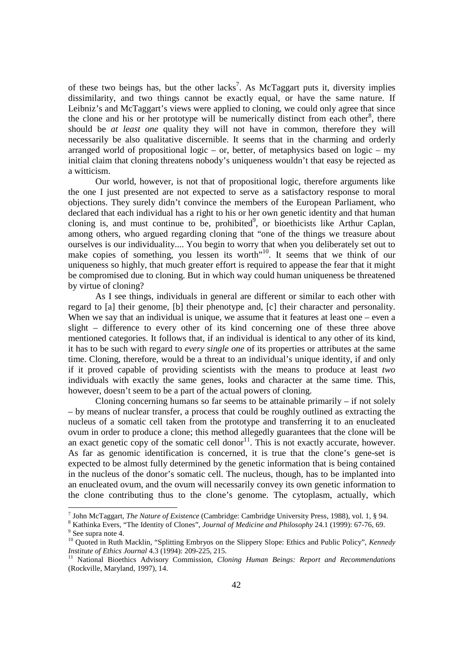of these two beings has, but the other lacks<sup>7</sup>. As McTaggart puts it, diversity implies dissimilarity, and two things cannot be exactly equal, or have the same nature. If Leibniz's and McTaggart's views were applied to cloning, we could only agree that since the clone and his or her prototype will be numerically distinct from each other<sup>8</sup>, there should be *at least one* quality they will not have in common, therefore they will necessarily be also qualitative discernible. It seems that in the charming and orderly arranged world of propositional logic – or, better, of metaphysics based on logic – my initial claim that cloning threatens nobody's uniqueness wouldn't that easy be rejected as a witticism.

Our world, however, is not that of propositional logic, therefore arguments like the one I just presented are not expected to serve as a satisfactory response to moral objections. They surely didn't convince the members of the European Parliament, who declared that each individual has a right to his or her own genetic identity and that human cloning is, and must continue to be, prohibited<sup>9</sup>, or bioethicists like Arthur Caplan, among others, who argued regarding cloning that "one of the things we treasure about ourselves is our individuality.... You begin to worry that when you deliberately set out to make copies of something, you lessen its worth<sup>"10</sup>. It seems that we think of our uniqueness so highly, that much greater effort is required to appease the fear that it might be compromised due to cloning. But in which way could human uniqueness be threatened by virtue of cloning?

As I see things, individuals in general are different or similar to each other with regard to [a] their genome, [b] their phenotype and, [c] their character and personality. When we say that an individual is unique, we assume that it features at least one – even a slight – difference to every other of its kind concerning one of these three above mentioned categories. It follows that, if an individual is identical to any other of its kind, it has to be such with regard to *every single one* of its properties or attributes at the same time. Cloning, therefore, would be a threat to an individual's unique identity, if and only if it proved capable of providing scientists with the means to produce at least *two* individuals with exactly the same genes, looks and character at the same time. This, however, doesn't seem to be a part of the actual powers of cloning.

Cloning concerning humans so far seems to be attainable primarily  $-$  if not solely – by means of nuclear transfer, a process that could be roughly outlined as extracting the nucleus of a somatic cell taken from the prototype and transferring it to an enucleated ovum in order to produce a clone; this method allegedly guarantees that the clone will be an exact genetic copy of the somatic cell donor<sup>11</sup>. This is not exactly accurate, however. As far as genomic identification is concerned, it is true that the clone's gene-set is expected to be almost fully determined by the genetic information that is being contained in the nucleus of the donor's somatic cell. The nucleus, though, has to be implanted into an enucleated ovum, and the ovum will necessarily convey its own genetic information to the clone contributing thus to the clone's genome. The cytoplasm, actually, which

 7 John McTaggart, *The Nature of Existence* (Cambridge: Cambridge University Press, 1988), vol. 1, § 94.

<sup>8</sup> Kathinka Evers, "The Identity of Clones", *Journal of Medicine and Philosophy* 24.1 (1999): 67-76, 69. <sup>9</sup> See supra note 4.

<sup>10</sup> Quoted in Ruth Macklin, "Splitting Embryos on the Slippery Slope: Ethics and Public Policy", *Kennedy Institute of Ethics Journal* 4.3 (1994): 209-225, 215.

<sup>&</sup>lt;sup>11</sup> National Bioethics Advisory Commission, *Cloning Human Beings: Report and Recommendations* (Rockville, Maryland, 1997), 14.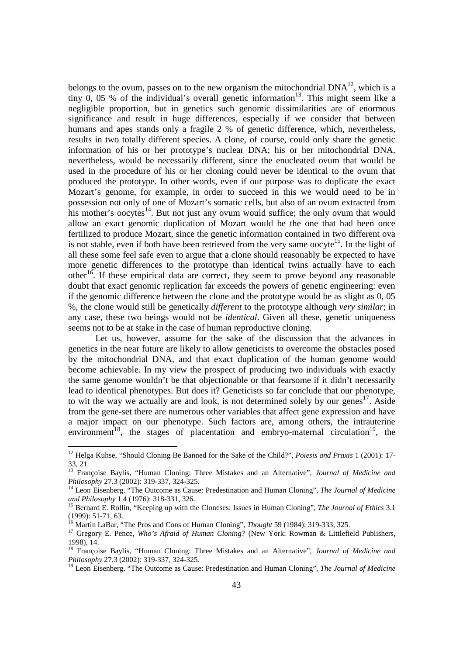belongs to the ovum, passes on to the new organism the mitochondrial  $DNA^{12}$ , which is a tiny 0, 05 % of the individual's overall genetic information<sup>13</sup>. This might seem like a negligible proportion, but in genetics such genomic dissimilarities are of enormous significance and result in huge differences, especially if we consider that between humans and apes stands only a fragile 2 % of genetic difference, which, nevertheless, results in two totally different species. A clone, of course, could only share the genetic information of his or her prototype's nuclear DNA; his or her mitochondrial DNA, nevertheless, would be necessarily different, since the enucleated ovum that would be used in the procedure of his or her cloning could never be identical to the ovum that produced the prototype. In other words, even if our purpose was to duplicate the exact Mozart's genome, for example, in order to succeed in this we would need to be in possession not only of one of Mozart's somatic cells, but also of an ovum extracted from his mother's oocytes $14$ . But not just any ovum would suffice; the only ovum that would allow an exact genomic duplication of Mozart would be the one that had been once fertilized to produce Mozart, since the genetic information contained in two different ova is not stable, even if both have been retrieved from the very same oocyte<sup>15</sup>. In the light of all these some feel safe even to argue that a clone should reasonably be expected to have more genetic differences to the prototype than identical twins actually have to each other<sup>16</sup>. If these empirical data are correct, they seem to prove beyond any reasonable doubt that exact genomic replication far exceeds the powers of genetic engineering: even if the genomic difference between the clone and the prototype would be as slight as 0, 05 %, the clone would still be genetically *different* to the prototype although *very similar*; in any case, these two beings would not be *identical*. Given all these, genetic uniqueness seems not to be at stake in the case of human reproductive cloning.

Let us, however, assume for the sake of the discussion that the advances in genetics in the near future are likely to allow geneticists to overcome the obstacles posed by the mitochondrial DNA, and that exact duplication of the human genome would become achievable. In my view the prospect of producing two individuals with exactly the same genome wouldn't be that objectionable or that fearsome if it didn't necessarily lead to identical phenotypes. But does it? Geneticists so far conclude that our phenotype, to wit the way we actually are and look, is not determined solely by our genes<sup>17</sup>. Aside from the gene-set there are numerous other variables that affect gene expression and have a major impact on our phenotype. Such factors are, among others, the intrauterine environment<sup>18</sup>, the stages of placentation and embryo-maternal circulation<sup>19</sup>, the

-

<sup>12</sup> Helga Kuhse, "Should Cloning Be Banned for the Sake of the Child?", *Poiesis and Praxis* 1 (2001): 17- 33, 21.

<sup>13</sup> Françoise Baylis, "Human Cloning: Three Mistakes and an Alternative", *Journal of Medicine and Philosophy* 27.3 (2002): 319-337, 324-325.

<sup>14</sup> Leon Eisenberg, "The Outcome as Cause: Predestination and Human Cloning", *The Journal of Medicine and Philosophy* 1.4 (1976): 318-331, 326.

<sup>15</sup> Bernard E. Rollin, "Keeping up with the Cloneses: Issues in Human Cloning", *The Journal of Ethics* 3.1 (1999): 51-71, 63.

<sup>16</sup> Martin LaBar, "The Pros and Cons of Human Cloning", *Thought* 59 (1984): 319-333, 325.

<sup>&</sup>lt;sup>17</sup> Gregory E. Pence, *Who's Afraid of Human Cloning?* (New York: Rowman & Littlefield Publishers, 1998), 14.

<sup>18</sup> Françoise Baylis, "Human Cloning: Three Mistakes and an Alternative", *Journal of Medicine and Philosophy* 27.3 (2002): 319-337, 324-325.

<sup>19</sup> Leon Eisenberg, "The Outcome as Cause: Predestination and Human Cloning", *The Journal of Medicine*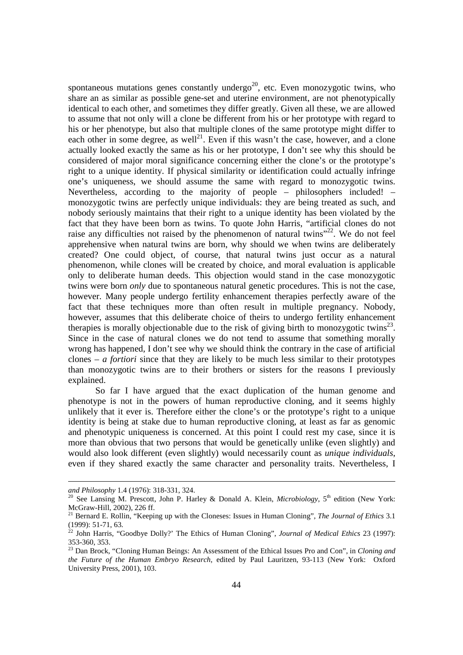spontaneous mutations genes constantly undergo<sup>20</sup>, etc. Even monozygotic twins, who share an as similar as possible gene-set and uterine environment, are not phenotypically identical to each other, and sometimes they differ greatly. Given all these, we are allowed to assume that not only will a clone be different from his or her prototype with regard to his or her phenotype, but also that multiple clones of the same prototype might differ to each other in some degree, as well<sup>21</sup>. Even if this wasn't the case, however, and a clone actually looked exactly the same as his or her prototype, I don't see why this should be considered of major moral significance concerning either the clone's or the prototype's right to a unique identity. If physical similarity or identification could actually infringe one's uniqueness, we should assume the same with regard to monozygotic twins. Nevertheless, according to the majority of people – philosophers included! – monozygotic twins are perfectly unique individuals: they are being treated as such, and nobody seriously maintains that their right to a unique identity has been violated by the fact that they have been born as twins. To quote John Harris, "artificial clones do not raise any difficulties not raised by the phenomenon of natural twins<sup> $22$ </sup>. We do not feel apprehensive when natural twins are born, why should we when twins are deliberately created? One could object, of course, that natural twins just occur as a natural phenomenon, while clones will be created by choice, and moral evaluation is applicable only to deliberate human deeds. This objection would stand in the case monozygotic twins were born *only* due to spontaneous natural genetic procedures. This is not the case, however. Many people undergo fertility enhancement therapies perfectly aware of the fact that these techniques more than often result in multiple pregnancy. Nobody, however, assumes that this deliberate choice of theirs to undergo fertility enhancement therapies is morally objectionable due to the risk of giving birth to monozygotic twins $^{23}$ . Since in the case of natural clones we do not tend to assume that something morally wrong has happened, I don't see why we should think the contrary in the case of artificial clones – *a fortiori* since that they are likely to be much less similar to their prototypes than monozygotic twins are to their brothers or sisters for the reasons I previously explained.

So far I have argued that the exact duplication of the human genome and phenotype is not in the powers of human reproductive cloning, and it seems highly unlikely that it ever is. Therefore either the clone's or the prototype's right to a unique identity is being at stake due to human reproductive cloning, at least as far as genomic and phenotypic uniqueness is concerned. At this point I could rest my case, since it is more than obvious that two persons that would be genetically unlike (even slightly) and would also look different (even slightly) would necessarily count as *unique individuals*, even if they shared exactly the same character and personality traits. Nevertheless, I

l

*and Philosophy* 1.4 (1976): 318-331, 324.

<sup>&</sup>lt;sup>20</sup> See Lansing M. Prescott, John P. Harley & Donald A. Klein, *Microbiology*, 5<sup>th</sup> edition (New York: McGraw-Hill, 2002), 226 ff.

<sup>21</sup> Bernard E. Rollin, "Keeping up with the Cloneses: Issues in Human Cloning", *The Journal of Ethics* 3.1  $(1999)$ : 51-71, 63.

<sup>22</sup> John Harris, "Goodbye Dolly?' The Ethics of Human Cloning", *Journal of Medical Ethics* 23 (1997): 353-360, 353.

<sup>23</sup> Dan Brock, "Cloning Human Beings: An Assessment of the Ethical Issues Pro and Con", in *Cloning and the Future of the Human Embryo Research*, edited by Paul Lauritzen, 93-113 (New York: Oxford University Press, 2001), 103.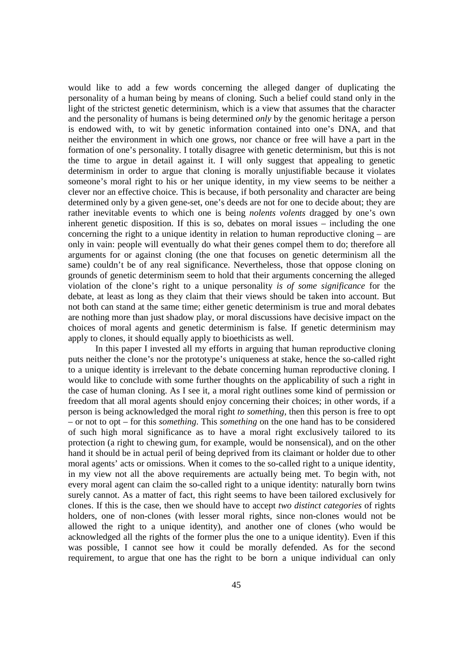would like to add a few words concerning the alleged danger of duplicating the personality of a human being by means of cloning. Such a belief could stand only in the light of the strictest genetic determinism, which is a view that assumes that the character and the personality of humans is being determined *only* by the genomic heritage a person is endowed with, to wit by genetic information contained into one's DNA, and that neither the environment in which one grows, nor chance or free will have a part in the formation of one's personality. I totally disagree with genetic determinism, but this is not the time to argue in detail against it. I will only suggest that appealing to genetic determinism in order to argue that cloning is morally unjustifiable because it violates someone's moral right to his or her unique identity, in my view seems to be neither a clever nor an effective choice. This is because, if both personality and character are being determined only by a given gene-set, one's deeds are not for one to decide about; they are rather inevitable events to which one is being *nolents volents* dragged by one's own inherent genetic disposition. If this is so, debates on moral issues – including the one concerning the right to a unique identity in relation to human reproductive cloning – are only in vain: people will eventually do what their genes compel them to do; therefore all arguments for or against cloning (the one that focuses on genetic determinism all the same) couldn't be of any real significance. Nevertheless, those that oppose cloning on grounds of genetic determinism seem to hold that their arguments concerning the alleged violation of the clone's right to a unique personality *is of some significance* for the debate, at least as long as they claim that their views should be taken into account. But not both can stand at the same time; either genetic determinism is true and moral debates are nothing more than just shadow play, or moral discussions have decisive impact on the choices of moral agents and genetic determinism is false. If genetic determinism may apply to clones, it should equally apply to bioethicists as well.

In this paper I invested all my efforts in arguing that human reproductive cloning puts neither the clone's nor the prototype's uniqueness at stake, hence the so-called right to a unique identity is irrelevant to the debate concerning human reproductive cloning. I would like to conclude with some further thoughts on the applicability of such a right in the case of human cloning. As I see it, a moral right outlines some kind of permission or freedom that all moral agents should enjoy concerning their choices; in other words, if a person is being acknowledged the moral right *to something*, then this person is free to opt – or not to opt – for this *something*. This *something* on the one hand has to be considered of such high moral significance as to have a moral right exclusively tailored to its protection (a right to chewing gum, for example, would be nonsensical), and on the other hand it should be in actual peril of being deprived from its claimant or holder due to other moral agents' acts or omissions. When it comes to the so-called right to a unique identity, in my view not all the above requirements are actually being met. To begin with, not every moral agent can claim the so-called right to a unique identity: naturally born twins surely cannot. As a matter of fact, this right seems to have been tailored exclusively for clones. If this is the case, then we should have to accept *two distinct categories* of rights holders, one of non-clones (with lesser moral rights, since non-clones would not be allowed the right to a unique identity), and another one of clones (who would be acknowledged all the rights of the former plus the one to a unique identity). Even if this was possible, I cannot see how it could be morally defended. As for the second requirement, to argue that one has the right to be born a unique individual can only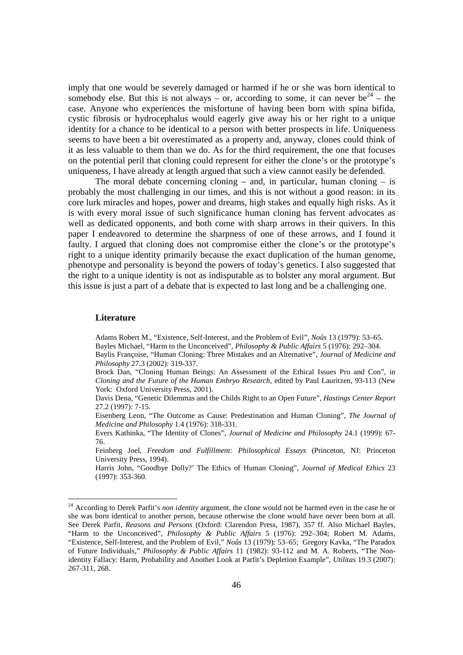imply that one would be severely damaged or harmed if he or she was born identical to somebody else. But this is not always – or, according to some, it can never be<sup>24</sup> – the case. Anyone who experiences the misfortune of having been born with spina bifida, cystic fibrosis or hydrocephalus would eagerly give away his or her right to a unique identity for a chance to be identical to a person with better prospects in life. Uniqueness seems to have been a bit overestimated as a property and, anyway, clones could think of it as less valuable to them than we do. As for the third requirement, the one that focuses on the potential peril that cloning could represent for either the clone's or the prototype's uniqueness, I have already at length argued that such a view cannot easily be defended.

The moral debate concerning cloning  $-$  and, in particular, human cloning  $-$  is probably the most challenging in our times, and this is not without a good reason: in its core lurk miracles and hopes, power and dreams, high stakes and equally high risks. As it is with every moral issue of such significance human cloning has fervent advocates as well as dedicated opponents, and both come with sharp arrows in their quivers. In this paper I endeavored to determine the sharpness of one of these arrows, and I found it faulty. I argued that cloning does not compromise either the clone's or the prototype's right to a unique identity primarily because the exact duplication of the human genome, phenotype and personality is beyond the powers of today's genetics. I also suggested that the right to a unique identity is not as indisputable as to bolster any moral argument. But this issue is just a part of a debate that is expected to last long and be a challenging one.

#### **Literature**

-

 Adams Robert M., "Existence, Self-Interest, and the Problem of Evil", *Noûs* 13 (1979): 53–65. Bayles Michael, "Harm to the Unconceived", *Philosophy & Public Affairs* 5 (1976): 292–304.

 Davis Dena, "Genetic Dilemmas and the Childs Right to an Open Future", *Hastings Center Report*  27.2 (1997): 7-15.

 Eisenberg Leon, "The Outcome as Cause: Predestination and Human Cloning", *The Journal of Medicine and Philosophy* 1.4 (1976): 318-331.

 Evers Kathinka, "The Identity of Clones", *Journal of Medicine and Philosophy* 24.1 (1999): 67- 76.

 Feinberg Joel, *Freedom and Fulfillment: Philosophical Essays* (Princeton, NJ: Princeton University Press, 1994).

 Harris John, "Goodbye Dolly?' The Ethics of Human Cloning", *Journal of Medical Ethics* 23 (1997): 353-360.

Baylis Françoise, "Human Cloning: Three Mistakes and an Alternative", *Journal of Medicine and Philosophy* 27.3 (2002): 319-337.

Brock Dan, "Cloning Human Beings: An Assessment of the Ethical Issues Pro and Con", in *Cloning and the Future of the Human Embryo Research*, edited by Paul Lauritzen, 93-113 (New York: Oxford University Press, 2001).

<sup>&</sup>lt;sup>24</sup> According to Derek Parfit's *non identity* argument, the clone would not be harmed even in the case he or she was born identical to another person, because otherwise the clone would have never been born at all. See Derek Parfit, *Reasons and Persons* (Oxford: Clarendon Press, 1987), 357 ff. Also Michael Bayles, "Harm to the Unconceived", *Philosophy & Public Affairs* 5 (1976): 292–304; Robert M. Adams, "Existence, Self-Interest, and the Problem of Evil," *Noûs* 13 (1979): 53–65; Gregory Kavka, "The Paradox of Future Individuals," *Philosophy & Public Affairs* 11 (1982): 93-112 and M. A. Roberts, "The Nonidentity Fallacy: Harm, Probability and Another Look at Parfit's Depletion Example", *Utilitas* 19.3 (2007): 267-311, 268.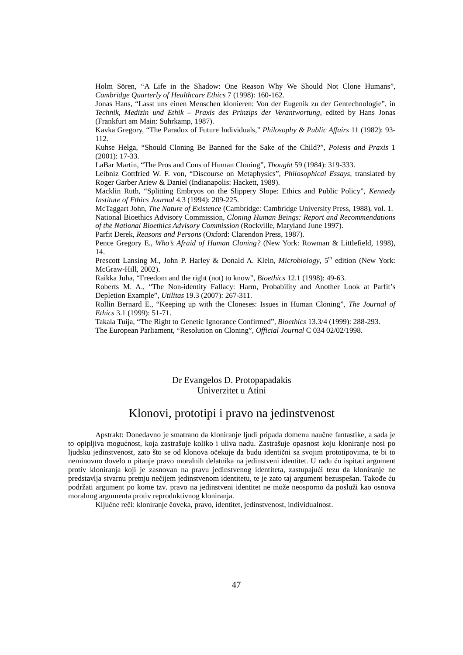Holm Sören, "A Life in the Shadow: One Reason Why We Should Not Clone Humans", *Cambridge Quarterly of Healthcare Ethics* 7 (1998): 160-162.

 Jonas Hans, "Lasst uns einen Menschen klonieren: Von der Eugenik zu der Gentechnologie", in *Technik, Medizin und Ethik – Praxis des Prinzips der Verantwortung*, edited by Hans Jonas (Frankfurt am Main: Suhrkamp, 1987).

 Kavka Gregory, "The Paradox of Future Individuals," *Philosophy & Public Affairs* 11 (1982): 93- 112.

 Kuhse Helga, "Should Cloning Be Banned for the Sake of the Child?", *Poiesis and Praxis* 1 (2001): 17-33.

LaBar Martin, "The Pros and Cons of Human Cloning", *Thought* 59 (1984): 319-333.

 Leibniz Gottfried W. F. von, "Discourse on Metaphysics", *Philosophical Essays*, translated by Roger Garber Ariew & Daniel (Indianapolis: Hackett, 1989).

 Macklin Ruth, "Splitting Embryos on the Slippery Slope: Ethics and Public Policy", *Kennedy Institute of Ethics Journal* 4.3 (1994): 209-225.

 McTaggart John, *The Nature of Existence* (Cambridge: Cambridge University Press, 1988), vol. 1. National Bioethics Advisory Commission*, Cloning Human Beings: Report and Recommendations of the National Bioethics Advisory Commission* (Rockville, Maryland June 1997).

Parfit Derek, *Reasons and Persons* (Oxford: Clarendon Press, 1987).

 Pence Gregory E., *Who's Afraid of Human Cloning?* (New York: Rowman & Littlefield, 1998), 14.

Prescott Lansing M., John P. Harley & Donald A. Klein, *Microbiology*, 5<sup>th</sup> edition (New York: McGraw-Hill, 2002).

Raikka Juha, "Freedom and the right (not) to know", *Bioethics* 12.1 (1998): 49-63.

 Roberts M. A., "The Non-identity Fallacy: Harm, Probability and Another Look at Parfit's Depletion Example", *Utilitas* 19.3 (2007): 267-311.

 Rollin Bernard E., "Keeping up with the Cloneses: Issues in Human Cloning", *The Journal of Ethics* 3.1 (1999): 51-71.

Takala Tuija, "The Right to Genetic Ignorance Confirmed", *Bioethics* 13.3/4 (1999): 288-293.

The European Parliament, "Resolution on Cloning", *Official Journal* C 034 02/02/1998.

### Dr Evangelos D. Protopapadakis Univerzitet u Atini

# Klonovi, prototipi i pravo na jedinstvenost

Аpstrakt: Donedavno je smatrano da kloniranje ljudi pripada domenu naučne fantastike, a sada je to opipljiva mogućnost, koja zastrašuje koliko i uliva nadu. Zastrašuje opasnost koju kloniranje nosi po ljudsku jedinstvenost, zato što se od klonova očekuje da budu identični sa svojim prototipovima, te bi to neminovno dovelo u pitanje pravo moralnih delatnika na jedinstveni identitet. U radu ću ispitati argument protiv kloniranja koji je zasnovan na pravu jedinstvenog identiteta, zastupajući tezu da kloniranje ne predstavlja stvarnu pretnju nečijem jedinstvenom identitetu, te je zato taj argument bezuspešan. Takođe ću podržati argument po kome tzv. pravo na jedinstveni identitet ne može neosporno da posluži kao osnova moralnog argumenta protiv reproduktivnog kloniranja.

Ključne reči: kloniranje čoveka, pravo, identitet, jedinstvenost, individualnost.